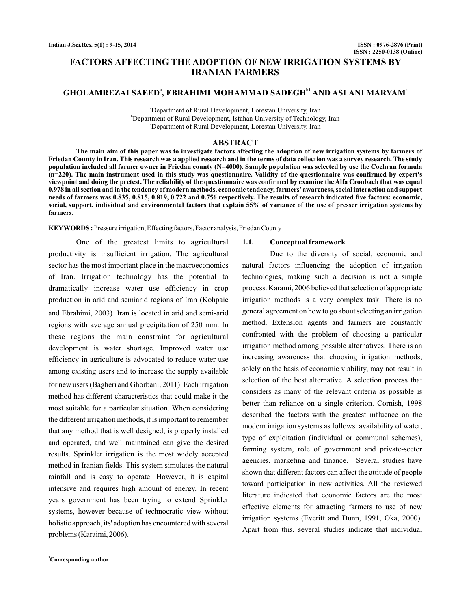# **FACTORS AFFECTING THE ADOPTION OF NEW IRRIGATION SYSTEMS BY IRANIAN FARMERS**

## GHOLAMREZAI SAEED<sup>a</sup>, EBRAHIMI MOHAMMAD SADEGH<sup>bi</sup> AND ASLANI MARYAM<sup>e</sup>

a Department of Rural Development, Lorestan University, Iran b Department of Rural Development, Isfahan University of Technology, Iran c Department of Rural Development, Lorestan University, Iran

#### **ABSTRACT**

**The main aim of this paper was to investigate factors affecting the adoption of new irrigation systems by farmers of Friedan County in Iran. This research was a applied research and in the terms of data collection was a survey research. The study population included all farmer owner in Friedan county (N=4000). Sample population was selected by use the Cochran formula (n=220). The main instrument used in this study was questionnaire. Validity of the questionnaire was confirmed by expert's viewpoint and doing the pretest. The reliability of the questionnaire was confirmed by examine the Alfa Cronbach that was equal 0.978 in all section and in the tendency of modern methods, economic tendency, farmers' awareness, social interaction and support needs of farmers was 0.835, 0.815, 0.819, 0.722 and 0.756 respectively. The results of research indicated five factors: economic, social, support, individual and environmental factors that explain 55% of variance of the use of presser irrigation systems by farmers.**

**KEYWORDS :** Pressure irrigation, Effecting factors, Factor analysis, Friedan County

One of the greatest limits to agricultural productivity is insufficient irrigation. The agricultural sector has the most important place in the macroeconomics of Iran. Irrigation technology has the potential to dramatically increase water use efficiency in crop production in arid and semiarid regions of Iran (Kohpaie and Ebrahimi, 2003). Iran is located in arid and semi-arid regions with average annual precipitation of 250 mm. In these regions the main constraint for agricultural development is water shortage. Improved water use efficiency in agriculture is advocated to reduce water use among existing users and to increase the supply available for new users (Bagheri and Ghorbani, 2011). Each irrigation method has different characteristics that could make it the most suitable for a particular situation. When considering the different irrigation methods, it is important to remember that any method that is well designed, is properly installed and operated, and well maintained can give the desired results. Sprinkler irrigation is the most widely accepted method in Iranian fields. This system simulates the natural rainfall and is easy to operate. However, it is capital intensive and requires high amount of energy. In recent years government has been trying to extend Sprinkler systems, however because of technocratic view without holistic approach, its' adoption has encountered with several problems (Karaimi, 2006).

#### **1.1. Conceptual framework**

Due to the diversity of social, economic and natural factors influencing the adoption of irrigation technologies, making such a decision is not a simple process. Karami, 2006 believed that selection of appropriate irrigation methods is a very complex task. There is no general agreement on how to go about selecting an irrigation method. Extension agents and farmers are constantly confronted with the problem of choosing a particular irrigation method among possible alternatives. There is an increasing awareness that choosing irrigation methods, solely on the basis of economic viability, may not result in selection of the best alternative. A selection process that considers as many of the relevant criteria as possible is better than reliance on a single criterion. Cornish, 1998 described the factors with the greatest influence on the modern irrigation systems as follows: availability of water, type of exploitation (individual or communal schemes), farming system, role of government and private-sector agencies, marketing and finance. Several studies have shown that different factors can affect the attitude of people toward participation in new activities. All the reviewed literature indicated that economic factors are the most effective elements for attracting farmers to use of new irrigation systems (Everitt and Dunn, 1991, Oka, 2000). Apart from this, several studies indicate that individual

**<sup>1</sup>Corresponding author**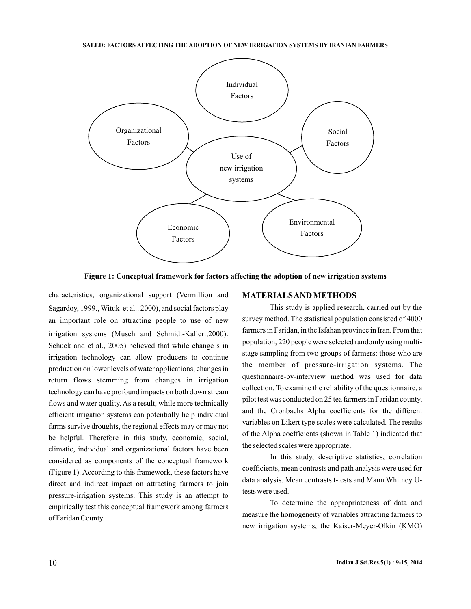

**Figure 1: Conceptual framework for factors affecting the adoption of new irrigation systems**

characteristics, organizational support (Vermillion and Sagardoy, 1999., Wituk et al., 2000), and social factors play an important role on attracting people to use of new irrigation systems (Musch and Schmidt-Kallert, 2000). Schuck and et al., 2005) believed that while change s in irrigation technology can allow producers to continue production on lower levels of water applications, changes in return flows stemming from changes in irrigation technology can have profound impacts on both down stream flows and water quality. As a result, while more technically efficient irrigation systems can potentially help individual farms survive droughts, the regional effects may or may not be helpful. Therefore in this study, economic, social, climatic, individual and organizational factors have been considered as components of the conceptual framework (Figure 1). According to this framework, these factors have direct and indirect impact on attracting farmers to join pressure-irrigation systems. This study is an attempt to empirically test this conceptual framework among farmers of Faridan County.

#### **MATERIALSAND METHODS**

This study is applied research, carried out by the survey method. The statistical population consisted of 4000 farmers in Faridan, in the Isfahan province in Iran. From that population, 220 people were selected randomly using multistage sampling from two groups of farmers: those who are the member of pressure-irrigation systems. The questionnaire-by-interview method was used for data collection. To examine the reliability of the questionnaire, a pilot test was conducted on 25 tea farmers in Faridan county, and the Cronbachs Alpha coefficients for the different variables on Likert type scales were calculated. The results of the Alpha coefficients (shown in Table 1) indicated that the selected scales were appropriate.

In this study, descriptive statistics, correlation coefficients, mean contrasts and path analysis were used for data analysis. Mean contrasts t-tests and Mann Whitney Utests were used.

To determine the appropriateness of data and measure the homogeneity of variables attracting farmers to new irrigation systems, the Kaiser-Meyer-Olkin (KMO)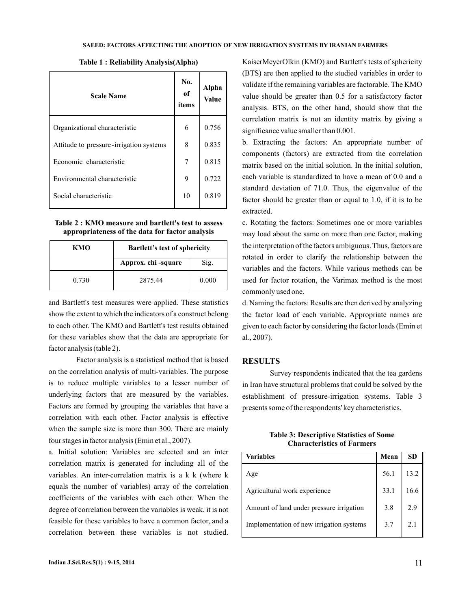| <b>Scale Name</b>                         | No.<br>of<br>items | Alpha<br><b>Value</b> |
|-------------------------------------------|--------------------|-----------------------|
| Organizational characteristic             | 6                  | 0.756                 |
| Attitude to pressure - irrigation systems | 8                  | 0.835                 |
| Economic characteristic                   | 7                  | 0.815                 |
| Environmental characteristic              | 9                  | 0.722                 |
| Social characteristic                     | 10                 | 0.819                 |

**Table 1 : Reliability Analysis(Alpha)**

**Table 2 : KMO measure and bartlett's test to assess appropriateness of the data for factor analysis**

| кмо   | <b>Bartlett's test of sphericity</b> |       |
|-------|--------------------------------------|-------|
|       | Approx. chi -square                  | Sig.  |
| 0.730 | 2875.44                              | 0.000 |

and Bartlett's test measures were applied. These statistics show the extent to which the indicators of a construct belong to each other. The KMO and Bartlett's test results obtained for these variables show that the data are appropriate for factor analysis (table 2).

Factor analysis is a statistical method that is based on the correlation analysis of multi-variables. The purpose is to reduce multiple variables to a lesser number of underlying factors that are measured by the variables. Factors are formed by grouping the variables that have a correlation with each other. Factor analysis is effective when the sample size is more than 300. There are mainly four stages in factor analysis (Emin et al., 2007).

a. Initial solution: Variables are selected and an inter correlation matrix is generated for including all of the variables. An inter-correlation matrix is a k k (where k equals the number of variables) array of the correlation coefficients of the variables with each other. When the degree of correlation between the variables is weak, it is not feasible for these variables to have a common factor, and a correlation between these variables is not studied.

KaiserMeyerOlkin (KMO) and Bartlett's tests of sphericity (BTS) are then applied to the studied variables in order to validate if the remaining variables are factorable. The KMO value should be greater than 0.5 for a satisfactory factor analysis. BTS, on the other hand, should show that the correlation matrix is not an identity matrix by giving a significance value smaller than 0.001.

b. Extracting the factors: An appropriate number of components (factors) are extracted from the correlation matrix based on the initial solution. In the initial solution, each variable is standardized to have a mean of 0.0 and a standard deviation of 71.0. Thus, the eigenvalue of the factor should be greater than or equal to 1.0, if it is to be extracted.

c. Rotating the factors: Sometimes one or more variables may load about the same on more than one factor, making the interpretation of the factors ambiguous. Thus, factors are rotated in order to clarify the relationship between the variables and the factors. While various methods can be used for factor rotation, the Varimax method is the most commonly used one.

d. Naming the factors: Results are then derived by analyzing the factor load of each variable. Appropriate names are given to each factor by considering the factor loads (Emin et al., 2007).

#### **RESULTS**

Survey respondents indicated that the tea gardens in Iran have structural problems that could be solved by the establishment of pressure-irrigation systems. Table 3 presents some of the respondents' key characteristics.

**Table 3: Descriptive Statistics of Some Characteristics of Farmers**

| <b>Variables</b>                         | Mean | SD   |
|------------------------------------------|------|------|
| Age                                      | 56.1 | 13.2 |
| Agricultural work experience             | 33.1 | 16.6 |
| Amount of land under pressure irrigation | 3.8  | 2.9  |
| Implementation of new irrigation systems | 3.7  |      |
|                                          |      |      |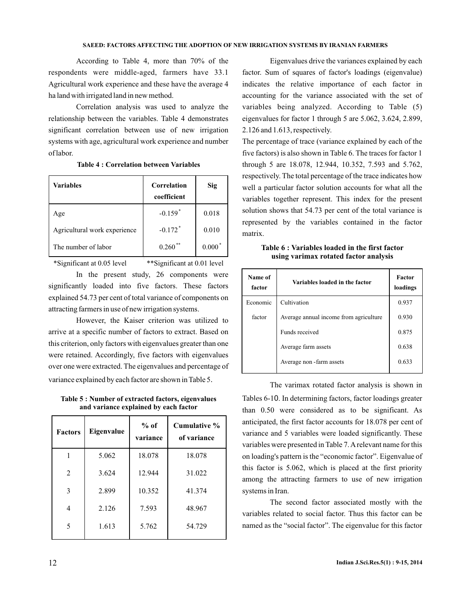According to Table 4, more than 70% of the respondents were middle-aged, farmers have 33.1 Agricultural work experience and these have the average 4 ha land with irrigated land in new method.

Correlation analysis was used to analyze the relationship between the variables. Table 4 demonstrates significant correlation between use of new irrigation systems with age, agricultural work experience and number of labor.

| <b>Variables</b>             | Correlation<br>coefficient | Sig               |
|------------------------------|----------------------------|-------------------|
| Age                          | $-0.159$ <sup>*</sup>      | 0.018             |
| Agricultural work experience | $-0.172$ <sup>*</sup>      | 0.010             |
| The number of labor          | 0.260                      | $0.000^{\degree}$ |

**Table 4 : Correlation between Variables**

\*Significant at 0.05 level \*\*Significant at 0.01 level

In the present study, 26 components were significantly loaded into five factors. These factors explained 54.73 per cent of total variance of components on attracting farmers in use of new irrigation systems.

However, the Kaiser criterion was utilized to arrive at a specific number of factors to extract. Based on this criterion, only factors with eigenvalues greater than one were retained. Accordingly, five factors with eigenvalues over one were extracted. The eigenvalues and percentage of variance explained by each factor are shown in Table 5.

**Table 5 : Number of extracted factors, eigenvalues and variance explained by each factor**

| <b>Factors</b>              | Eigenvalue | $%$ of<br>variance | Cumulative %<br>of variance |
|-----------------------------|------------|--------------------|-----------------------------|
|                             | 5.062      | 18.078             | 18.078                      |
| $\mathcal{D}_{\mathcal{L}}$ | 3.624      | 12.944             | 31.022                      |
| 3                           | 2.899      | 10.352             | 41.374                      |
| 4                           | 2.126      | 7.593              | 48.967                      |
| 5                           | 1.613      | 5.762              | 54.729                      |

Eigenvalues drive the variances explained by each factor. Sum of squares of factor's loadings (eigenvalue) indicates the relative importance of each factor in accounting for the variance associated with the set of variables being analyzed. According to Table (5) eigenvalues for factor 1 through 5 are 5.062, 3.624, 2.899, 2.126 and 1.613, respectively.

The percentage of trace (variance explained by each of the five factors) is also shown in Table 6. The traces for factor 1 through 5 are 18.078, 12.944, 10.352, 7.593 and 5.762, respectively. The total percentage of the trace indicates how well a particular factor solution accounts for what all the variables together represent. This index for the present solution shows that 54.73 per cent of the total variance is represented by the variables contained in the factor matrix.

**Table 6 : Variables loaded in the first factor using varimax rotated factor analysis**

| Name of<br>factor | Variables loaded in the factor         | <b>Factor</b><br>loadings |
|-------------------|----------------------------------------|---------------------------|
| Economic          | Cultivation                            | 0.937                     |
| factor            | Average annual income from agriculture | 0.930                     |
|                   | Funds received                         | 0.875                     |
|                   | Average farm assets                    | 0.638                     |
|                   | Average non - farm assets              | 0.633                     |

The varimax rotated factor analysis is shown in Tables 6-10. In determining factors, factor loadings greater than 0.50 were considered as to be significant. As anticipated, the first factor accounts for 18.078 per cent of variance and 5 variables were loaded significantly. These variables were presented in Table 7.Arelevant name for this on loading's pattern is the "economic factor". Eigenvalue of this factor is 5.062, which is placed at the first priority among the attracting farmers to use of new irrigation systems in Iran.

The second factor associated mostly with the variables related to social factor. Thus this factor can be named as the "social factor". The eigenvalue for this factor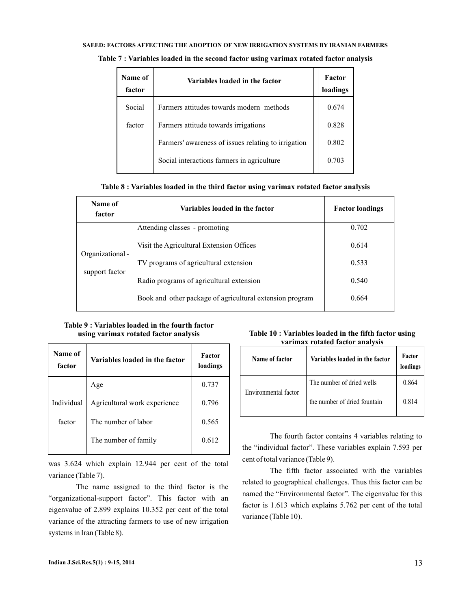#### SAEED: FACTORS AFFECTING THE ADOPTION OF NEW IRRIGATION SYSTEMS BY IRANIAN FARMERS

| Name of<br>factor | Variables loaded in the factor                      | Factor<br>loadings |
|-------------------|-----------------------------------------------------|--------------------|
| Social            | Farmers attitudes towards modern methods            | 0.674              |
| factor            | Farmers attitude towards irrigations                | 0.828              |
|                   | Farmers' awareness of issues relating to irrigation | 0.802              |
|                   | Social interactions farmers in agriculture          | 0.703              |

**Table 7 : Variables loaded in the second factor using varimax rotated factor analysis**

### **Table 8 : Variables loaded in the third factor using varimax rotated factor analysis**

| Name of<br>factor | Variables loaded in the factor                           | <b>Factor loadings</b> |
|-------------------|----------------------------------------------------------|------------------------|
|                   | Attending classes - promoting                            | 0.702                  |
| Organizational-   | Visit the Agricultural Extension Offices                 | 0.614                  |
| support factor    | TV programs of agricultural extension                    | 0.533                  |
|                   | Radio programs of agricultural extension                 | 0.540                  |
|                   | Book and other package of agricultural extension program | 0.664                  |

## **Table 9 : Variables loaded in the fourth factor using varimax rotated factor analysis**

| Name of<br>factor | Variables loaded in the factor | <b>Factor</b><br>loadings |
|-------------------|--------------------------------|---------------------------|
|                   | Age                            | 0.737                     |
| Individual        | Agricultural work experience   | 0.796                     |
| factor            | The number of labor            | 0.565                     |
|                   | The number of family           | 0.612                     |
|                   |                                |                           |

was 3.624 which explain 12.944 per cent of the total variance (Table 7).

The name assigned to the third factor is the "organizational-support factor". This factor with an eigenvalue of 2.899 explains 10.352 per cent of the total variance of the attracting farmers to use of new irrigation systems in Iran (Table 8).

## **Table 10 : Variables loaded in the fifth factor using varimax rotated factor analysis**

| Name of factor       | Variables loaded in the factor | Factor<br>loadings |
|----------------------|--------------------------------|--------------------|
|                      | The number of dried wells      | 0.864              |
| Environmental factor | the number of dried fountain   | 0.814              |

The fourth factor contains 4 variables relating to the "individual factor". These variables explain 7.593 per cent of total variance (Table 9).

The fifth factor associated with the variables related to geographical challenges. Thus this factor can be named the "Environmental factor". The eigenvalue for this factor is 1.613 which explains 5.762 per cent of the total variance (Table 10).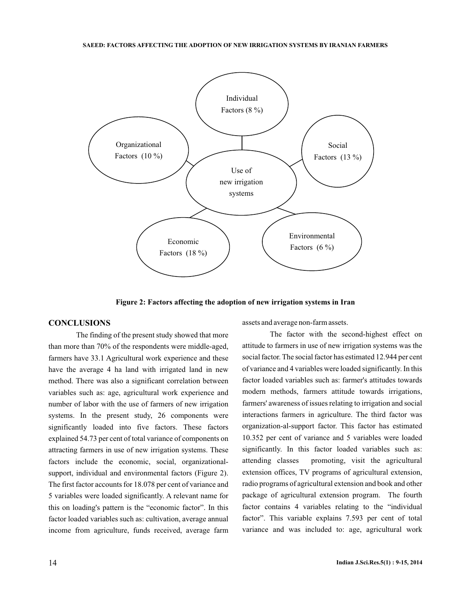

**Figure 2: Factors affecting the adoption of new irrigation systems in Iran**

## **CONCLUSIONS**

The finding of the present study showed that more than more than 70% of the respondents were middle-aged, farmers have 33.1 Agricultural work experience and these have the average 4 ha land with irrigated land in new method. There was also a significant correlation between variables such as: age, agricultural work experience and number of labor with the use of farmers of new irrigation systems. In the present study, 26 components were significantly loaded into five factors. These factors explained 54.73 per cent of total variance of components on attracting farmers in use of new irrigation systems. These factors include the economic, social, organizationalsupport, individual and environmental factors (Figure 2). The first factor accounts for 18.078 per cent of variance and 5 variables were loaded significantly. A relevant name for this on loading's pattern is the "economic factor". In this factor loaded variables such as: cultivation, average annual income from agriculture, funds received, average farm

assets and average non-farm assets.

The factor with the second-highest effect on attitude to farmers in use of new irrigation systems was the social factor. The social factor has estimated 12.944 per cent of variance and 4 variables were loaded significantly. In this factor loaded variables such as: farmer's attitudes towards modern methods, farmers attitude towards irrigations, farmers' awareness of issues relating to irrigation and social interactions farmers in agriculture. The third factor was organization-al-support factor. This factor has estimated 10.352 per cent of variance and 5 variables were loaded significantly. In this factor loaded variables such as: attending classes promoting, visit the agricultural extension offices, TV programs of agricultural extension, radio programs of agricultural extension and book and other package of agricultural extension program. The fourth factor contains 4 variables relating to the "individual factor". This variable explains 7.593 per cent of total variance and was included to: age, agricultural work